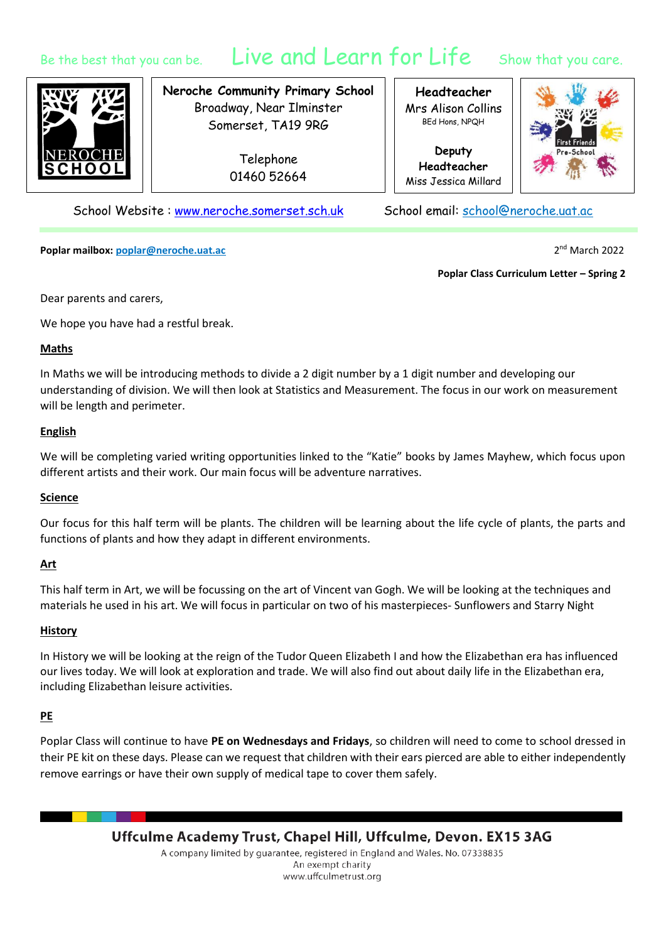# Be the best that you can be. Live and Learn for Life Show that you care.

**Neroche Community Primary School** Broadway, Near Ilminster Somerset, TA19 9RG

> Telephone 01460 52664

**Headteacher** Mrs Alison Collins BEd Hons, NPQH

**Deputy Headteacher** Miss Jessica Millard



School Website : [www.neroche.somerset.sch.uk](http://www.neroche.somerset.sch.uk/) School email: school@neroche.uat.ac

**Poplar mailbox: poplar@neroche.uat.ac** 2

2<sup>nd</sup> March 2022

**Poplar Class Curriculum Letter – Spring 2**

Dear parents and carers,

We hope you have had a restful break.

#### **Maths**

In Maths we will be introducing methods to divide a 2 digit number by a 1 digit number and developing our understanding of division. We will then look at Statistics and Measurement. The focus in our work on measurement will be length and perimeter.

### **English**

We will be completing varied writing opportunities linked to the "Katie" books by James Mayhew, which focus upon different artists and their work. Our main focus will be adventure narratives.

### **Science**

Our focus for this half term will be plants. The children will be learning about the life cycle of plants, the parts and functions of plants and how they adapt in different environments.

### **Art**

This half term in Art, we will be focussing on the art of Vincent van Gogh. We will be looking at the techniques and materials he used in his art. We will focus in particular on two of his masterpieces- Sunflowers and Starry Night

### **History**

In History we will be looking at the reign of the Tudor Queen Elizabeth I and how the Elizabethan era has influenced our lives today. We will look at exploration and trade. We will also find out about daily life in the Elizabethan era, including Elizabethan leisure activities.

### **PE**

Poplar Class will continue to have **PE on Wednesdays and Fridays**, so children will need to come to school dressed in their PE kit on these days. Please can we request that children with their ears pierced are able to either independently remove earrings or have their own supply of medical tape to cover them safely.

> Uffculme Academy Trust, Chapel Hill, Uffculme, Devon. EX15 3AG A company limited by guarantee, registered in England and Wales. No. 07338835 An exempt charity www.uffculmetrust.org